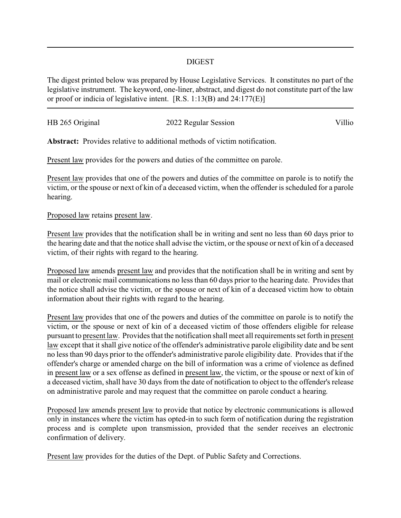## DIGEST

The digest printed below was prepared by House Legislative Services. It constitutes no part of the legislative instrument. The keyword, one-liner, abstract, and digest do not constitute part of the law or proof or indicia of legislative intent. [R.S. 1:13(B) and 24:177(E)]

| HB 265 Original |                      | Villio |
|-----------------|----------------------|--------|
|                 | 2022 Regular Session |        |

**Abstract:** Provides relative to additional methods of victim notification.

Present law provides for the powers and duties of the committee on parole.

Present law provides that one of the powers and duties of the committee on parole is to notify the victim, or the spouse or next of kin of a deceased victim, when the offender is scheduled for a parole hearing.

## Proposed law retains present law.

Present law provides that the notification shall be in writing and sent no less than 60 days prior to the hearing date and that the notice shall advise the victim, or the spouse or next of kin of a deceased victim, of their rights with regard to the hearing.

Proposed law amends present law and provides that the notification shall be in writing and sent by mail or electronic mail communications no less than 60 days prior to the hearing date. Provides that the notice shall advise the victim, or the spouse or next of kin of a deceased victim how to obtain information about their rights with regard to the hearing.

Present law provides that one of the powers and duties of the committee on parole is to notify the victim, or the spouse or next of kin of a deceased victim of those offenders eligible for release pursuant to present law. Provides that the notification shall meet all requirements set forth in present law except that it shall give notice of the offender's administrative parole eligibility date and be sent no less than 90 days prior to the offender's administrative parole eligibility date. Provides that if the offender's charge or amended charge on the bill of information was a crime of violence as defined in present law or a sex offense as defined in present law, the victim, or the spouse or next of kin of a deceased victim, shall have 30 days from the date of notification to object to the offender's release on administrative parole and may request that the committee on parole conduct a hearing.

Proposed law amends present law to provide that notice by electronic communications is allowed only in instances where the victim has opted-in to such form of notification during the registration process and is complete upon transmission, provided that the sender receives an electronic confirmation of delivery.

Present law provides for the duties of the Dept. of Public Safety and Corrections.